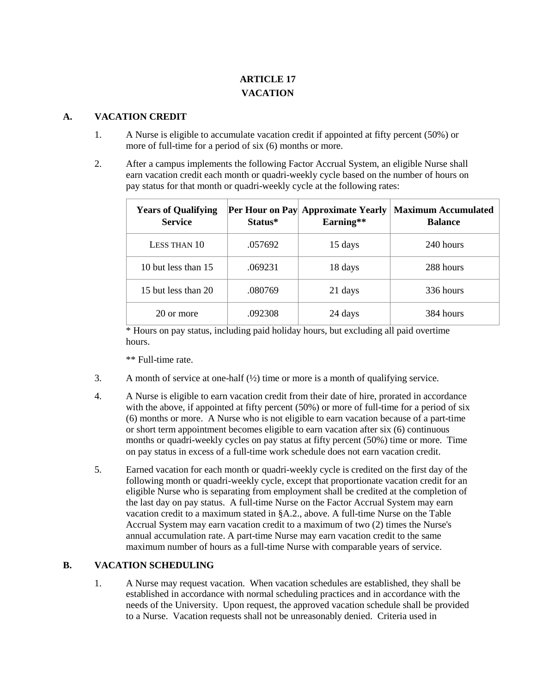# **ARTICLE 17 VACATION**

#### **A. VACATION CREDIT**

- 1. A Nurse is eligible to accumulate vacation credit if appointed at fifty percent (50%) or more of full-time for a period of six (6) months or more.
- 2. After a campus implements the following Factor Accrual System, an eligible Nurse shall earn vacation credit each month or quadri-weekly cycle based on the number of hours on pay status for that month or quadri-weekly cycle at the following rates:

| <b>Years of Qualifying</b><br><b>Service</b> | Status* | Per Hour on Pay Approximate Yearly<br>Earning** | <b>Maximum Accumulated</b><br><b>Balance</b> |
|----------------------------------------------|---------|-------------------------------------------------|----------------------------------------------|
| LESS THAN 10                                 | .057692 | 15 days                                         | 240 hours                                    |
| 10 but less than 15                          | .069231 | 18 days                                         | 288 hours                                    |
| 15 but less than 20                          | .080769 | 21 days                                         | 336 hours                                    |
| 20 or more                                   | .092308 | 24 days                                         | 384 hours                                    |

\* Hours on pay status, including paid holiday hours, but excluding all paid overtime hours.

\*\* Full-time rate.

- 3. A month of service at one-half (½) time or more is a month of qualifying service.
- 4. A Nurse is eligible to earn vacation credit from their date of hire, prorated in accordance with the above, if appointed at fifty percent (50%) or more of full-time for a period of six (6) months or more. A Nurse who is not eligible to earn vacation because of a part-time or short term appointment becomes eligible to earn vacation after six (6) continuous months or quadri-weekly cycles on pay status at fifty percent (50%) time or more. Time on pay status in excess of a full-time work schedule does not earn vacation credit.
- 5. Earned vacation for each month or quadri-weekly cycle is credited on the first day of the following month or quadri-weekly cycle, except that proportionate vacation credit for an eligible Nurse who is separating from employment shall be credited at the completion of the last day on pay status. A full-time Nurse on the Factor Accrual System may earn vacation credit to a maximum stated in §A.2., above. A full-time Nurse on the Table Accrual System may earn vacation credit to a maximum of two (2) times the Nurse's annual accumulation rate. A part-time Nurse may earn vacation credit to the same maximum number of hours as a full-time Nurse with comparable years of service.

## **B. VACATION SCHEDULING**

1. A Nurse may request vacation. When vacation schedules are established, they shall be established in accordance with normal scheduling practices and in accordance with the needs of the University. Upon request, the approved vacation schedule shall be provided to a Nurse. Vacation requests shall not be unreasonably denied. Criteria used in